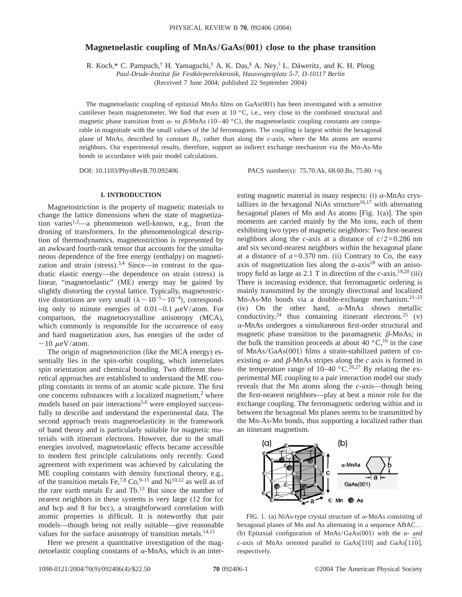# **Magnetoelastic coupling of MnAs/GaAs(001) close to the phase transition**

R. Koch,\* C. Pampuch,<sup>†</sup> H. Yamaguchi,<sup>‡</sup> A. K. Das,<sup>§</sup> A. Ney,<sup>∥</sup> L. Däweritz, and K. H. Ploog

*Paul-Drude-Institut für Festkörperelektronik, Hausvogteiplatz 5-7, D-10117 Berlin*

(Received 7 June 2004; published 22 September 2004)

The magnetoelastic coupling of epitaxial MnAs films on GaAs(001) has been investigated with a sensitive cantilever beam magnetometer. We find that even at  $10\degree C$ , i.e., very close to the combined structural and magnetic phase transition from  $\alpha$ - to  $\beta$ -MnAs (10–40 °C), the magnetoelastic coupling constants are comparable in magnitude with the small values of the 3*d* ferromagnets. The coupling is largest within the hexagonal plane of MnAs, described by constant *B*1, rather than along the *c*-axis, where the Mn atoms are nearest neighbors. Our experimental results, therefore, support an indirect exchange mechanism via the Mn-As-Mn bonds in accordance with pair model calculations.

DOI: 10.1103/PhysRevB.70.092406 PACS number(s): 75.70.Ak, 68.60.Bs, 75.80.+q

## **I. INTRODUCTION**

Magnetostriction is the property of magnetic materials to change the lattice dimensions when the state of magnetization varies<sup>1,2</sup>—a phenomenon well-known, e.g., from the droning of transformers. In the phenomenological description of thermodynamics, magnetostriction is represented by an awkward fourth-rank tensor that accounts for the simultaneous dependence of the free energy (enthalpy) on magnetization and strain (stress). $3,4$  Since—in contrast to the quadratic elastic energy—the dependence on strain (stress) is linear, "magnetoelastic" (ME) energy may be gained by slightly distorting the crystal lattice. Typically, magnetostrictive distortions are very small  $(\lambda \sim 10^{-5}-10^{-4})$ , corresponding only to minute energies of  $0.01-0.1 \mu\text{eV/atom}$ . For comparison, the magnetocrystalline anisotropy (MCA), which commonly is responsible for the occurrence of easy and hard magnetization axes, has energies of the order of  $\sim$ 10  $\mu$ eV/atom.

The origin of magnetostriction (like the MCA energy) essentially lies in the spin-orbit coupling, which interrelates spin orientation and chemical bonding. Two different theoretical approaches are established to understand the ME coupling constants in terms of an atomic scale picture. The first one concerns substances with a localized magnetism, $<sup>2</sup>$  where</sup> models based on pair interactions<sup>5,6</sup> were employed successfully to describe and understand the experimental data. The second approach treats magnetoelasticity in the framework of band theory and is particularly suitable for magnetic materials with itinerant electrons. However, due to the small energies involved, magnetoelastic effects became accessible to modern first principle calculations only recently. Good agreement with experiment was achieved by calculating the ME coupling constants with density functional theory, e.g., of the transition metals Fe, $^{7,8}$  Co, $^{9-11}$  and Ni<sup>10,12</sup> as well as of the rare earth metals Er and Tb.13 But since the number of nearest neighbors in these systems is very large (12 for fcc and hcp and 8 for bcc), a straightforward correlation with atomic properties is difficult. It is noteworthy that pair models—though being not really suitable—give reasonable values for the surface anisotropy of transition metals.<sup>14,15</sup>

Here we present a quantitative investigation of the magnetoelastic coupling constants of  $\alpha$ -MnAs, which is an interesting magnetic material in many respects: (i)  $\alpha$ -MnAs crystallizes in the hexagonal NiAs structure<sup>16,17</sup> with alternating hexagonal planes of Mn and As atoms [Fig.  $1(a)$ ]. The spin moments are carried mainly by the Mn ions, each of them exhibiting two types of magnetic neighbors: Two first-nearest neighbors along the *c*-axis at a distance of *c*/2=0.286 nm and six second-nearest neighbors within the hexagonal plane at a distance of  $a=0.370$  nm. (ii) Contrary to Co, the easy axis of magnetization lies along the  $a$ -axis<sup>18</sup> with an anisotropy field as large as 2.1 T in direction of the *c*-axis.19,20 (iii) There is increasing evidence, that ferromagnetic ordering is mainly transmitted by the strongly directional and localized Mn-As-Mn bonds via a double-exchange mechanism.<sup>21-23</sup> (iv) On the other hand,  $\alpha$ -MnAs shows metallic conductivity,  $24$  thus containing itinerant electrons.  $25$  (v)  $\alpha$ -MnAs undergoes a simultaneous first-order structural and magnetic phase transition to the paramagnetic  $\beta$ -MnAs; in the bulk the transition proceeds at about 40  $\degree$ C,<sup>16</sup> in the case of  $MnAs/GaAs(001)$  films a strain-stabilized pattern of coexisting  $\alpha$ - and  $\beta$ -MnAs stripes along the *c* axis is formed in the temperature range of  $10-40$  °C.<sup>26,27</sup> By relating the experimental ME coupling to a pair interaction model our study reveals that the Mn atoms along the *c*-axis—though being the first-nearest neighbors—play at best a minor role for the exchange coupling. The ferromagnetic ordering within and in between the hexagonal Mn planes seems to be transmitted by the Mn-As-Mn bonds, thus supporting a localized rather than an itinerant magnetism.



FIG. 1. (a) NiAs-type crystal structure of  $\alpha$ -MnAs consisting of hexagonal planes of Mn and As alternating in a sequence ABAC... (b) Epitaxial configuration of  $MnAs/GaAs(001)$  with the  $a$ - and *c*-axis of MnAs oriented parallel to GaAs[110] and GaAs[1 $\overline{10}$ ], respectively.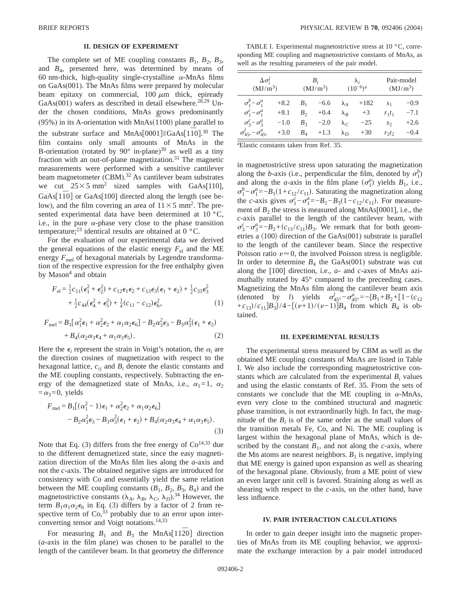### **II. DESIGN OF EXPERIMENT**

The complete set of ME coupling constants  $B_1$ ,  $B_2$ ,  $B_3$ , and *B*4, presented here, was determined by means of 60 nm-thick, high-quality single-crystalline  $\alpha$ -MnAs films on GaAs(001). The MnAs films were prepared by molecular beam epitaxy on commercial,  $100 \mu m$  thick, epiready GaAs(001) wafers as described in detail elsewhere.<sup>28,29</sup> Under the chosen conditions, MnAs grows predominantly  $(95\%)$  in its A-orientation with MnAs $(\overline{1}100)$  plane parallel to the substrate surface and MnAs[0001]||GaAs[1 $\overline{10}$ ].<sup>30</sup> The film contains only small amounts of MnAs in the B-orientation (rotated by  $90^\circ$  in-plane)<sup>30</sup> as well as a tiny fraction with an out-of-plane magnetization.<sup>31</sup> The magnetic measurements were performed with a sensitive cantilever beam magnetometer (CBM).<sup>32</sup> As cantilever beam substrates we cut  $25 \times 5$  mm<sup>2</sup> sized samples with GaAs[110], GaAs<sup>[110]</sup> or GaAs<sup>[100]</sup> directed along the length (see below), and the film covering an area of  $11 \times 5$  mm<sup>2</sup>. The presented experimental data have been determined at  $10^{\circ}$ C, i.e., in the pure  $\alpha$ -phase very close to the phase transition temperature;<sup>23</sup> identical results are obtained at  $0^{\circ}$ C.

For the evaluation of our experimental data we derived the general equations of the elastic energy  $F_{el}$  and the ME energy  $F_{\text{mel}}$  of hexagonal materials by Legendre transformation of the respective expression for the free enthalphy given by Mason $4$  and obtain

$$
F_{\rm el} = \frac{1}{2}c_{11}(\epsilon_1^2 + \epsilon_2^2) + c_{12}\epsilon_1\epsilon_2 + c_{13}\epsilon_3(\epsilon_1 + \epsilon_2) + \frac{1}{2}c_{33}\epsilon_3^2 + \frac{1}{2}c_{44}(\epsilon_4^2 + \epsilon_5^2) + \frac{1}{4}(c_{11} - c_{12})\epsilon_6^2,
$$
 (1)

$$
F_{\text{mel}} = B_1 \left[ \alpha_1^2 \epsilon_1 + \alpha_2^2 \epsilon_2 + \alpha_1 \alpha_2 \epsilon_6 \right] - B_2 \alpha_3^2 \epsilon_3 - B_3 \alpha_3^2 (\epsilon_1 + \epsilon_2) + B_4(\alpha_2 \alpha_3 \epsilon_4 + \alpha_1 \alpha_3 \epsilon_5).
$$
 (2)

Here the  $\epsilon_i$  represent the strain in Voigt's notation, the  $\alpha_i$  are the direction cosines of magnetization with respect to the hexagonal lattice,  $c_{ij}$  and  $B_i$  denote the elastic constants and the ME coupling constants, respectively. Subtracting the energy of the demagnetized state of MnAs, i.e.,  $\alpha_1 = 1$ ,  $\alpha_2$  $=\alpha_3=0$ , yields

$$
F_{\text{mel}} = B_1[(\alpha_1^2 - 1)\epsilon_1 + \alpha_2^2 \epsilon_2 + \alpha_1 \alpha_2 \epsilon_6]
$$
  

$$
-B_2 \alpha_3^2 \epsilon_3 - B_3 \alpha_3^2 (\epsilon_1 + \epsilon_2) + B_4(\alpha_2 \alpha_3 \epsilon_4 + \alpha_1 \alpha_3 \epsilon_5).
$$
  
(3)

Note that Eq. (3) differs from the free energy of  $Co<sup>14,33</sup>$  due to the different demagnetized state, since the easy magnetization direction of the MnAs film lies along the *a*-axis and not the *c*-axis. The obtained negative signs are introduced for consistency with Co and essentially yield the same relation between the ME coupling constants  $(B_1, B_2, B_3, B_4)$  and the magnetostrictive constants  $(\lambda_A, \lambda_B, \lambda_C, \lambda_D)$ .<sup>34</sup> However, the term  $B_1\alpha_1\alpha_2\epsilon_6$  in Eq. (3) differs by a factor of 2 from respective term of  $Co<sub>33</sub>$  probably due to an error upon interconverting tensor and Voigt notations.<sup>14,33</sup>

For measuring  $B_1$  and  $B_3$  the MnAs[1120] direction (*a*-axis in the film plane) was chosen to be parallel to the length of the cantilever beam. In that geometry the difference

TABLE I. Experimental magnetostrictive stress at 10 °C, corresponding ME coupling and magnetostrictive constants of MnAs, as well as the resulting parameters of the pair model.

| $\Delta \sigma_i^j$<br>$(MJ/m^3)$             |        | $B_i$<br>(MJ/m <sup>3</sup> ) |                        | $\lambda_i$<br>$(10^{-6})^a$ |        | Pair-model<br>$(MJ/m^3)$ |        |
|-----------------------------------------------|--------|-------------------------------|------------------------|------------------------------|--------|--------------------------|--------|
| $\sigma_1^b - \sigma_1^a$                     | $+8.2$ |                               | $B_1$ -6.6 $\lambda_A$ |                              | $+182$ | S <sub>1</sub>           | $-0.9$ |
| $\sigma_1^c - \sigma_1^a$                     | $+8.1$ | $B_2$                         | $+0.4 \lambda_R$       |                              | $+3$   | $r_1t_1$                 | $-7.1$ |
| $\sigma_3^c - \sigma_3^a$                     | $-1.0$ |                               | $B_3 \t -2.0$          | $\lambda_c$                  | $-25$  | $S_{2}$                  | $+2.6$ |
| $\sigma_{45\circ}^{l} - \sigma_{45\circ}^{a}$ | $+3.0$ |                               | $B_4$ +1.3 $\lambda_D$ |                              | $+30$  | $r_2t_2$                 | $-0.4$ |

a Elastic constants taken from Ref. 35.

in magnetostrictive stress upon saturating the magnetization along the *b*-axis (i.e., perpendicular the film, denoted by  $\sigma_1^b$ ) and along the *a*-axis in the film plane  $(\sigma_1^a)$  yields  $B_1$ , i.e.,  $\sigma_1^b - \sigma_1^a = -B_1(1 + c_{12}/c_{11})$ . Saturating the magnetization along the *c*-axis gives  $\sigma_1^c - \sigma_1^a = -B_1 - B_3(1 - c_{12}/c_{11})$ . For measurement of  $B_2$  the stress is measured along MnAs $[0001]$ , i.e., the *c*-axis parallel to the length of the cantilever beam, with  $\sigma_3^c - \sigma_3^a = -B_2 + (c_{13}/c_{11})B_3$ . We remark that for both geometries a  $\langle 100 \rangle$  direction of the GaAs(001) substrate is parallel to the length of the cantilever beam. Since the respective Poisson ratio  $\nu \approx 0$ , the involved Poisson stress is negligible. In order to determine  $B_4$  the GaAs(001) substrate was cut along the [100] direction, i.e., *a*- and *c*-axes of MnAs azimuthally rotated by 45° compared to the preceeding cases. Magnetizing the MnAs film along the cantilever beam axis (denoted by *l*) yields  $\sigma_{45\degree}^l - \sigma_{45\degree}^a = -\{B_1 + B_2 + [1 - (c_{12})\}$ +c<sub>13</sub> $/c_{11}B_3$  $/4-[(\nu+1)/(\nu-1)]B_4$  from which  $B_4$  is obtained.

#### **III. EXPERIMENTAL RESULTS**

The experimental stress measured by CBM as well as the obtained ME coupling constants of MnAs are listed in Table I. We also include the corresponding magnetostrictive constants which are calculated from the experimental  $B_i$  values and using the elastic constants of Ref. 35. From the sets of constants we conclude that the ME coupling in  $\alpha$ -MnAs, even very close to the combined structural and magnetic phase transition, is not extraordinarily high. In fact, the magnitude of the *Bi* is of the same order as the small values of the transition metals Fe, Co, and Ni. The ME coupling is largest within the hexagonal plane of MnAs, which is described by the constant  $B_1$ , and not along the *c*-axis, where the Mn atoms are nearest neighbors.  $B_1$  is negative, implying that ME energy is gained upon expansion as well as shearing of the hexagonal plane. Obviously, from a ME point of view an even larger unit cell is favored. Straining along as well as shearing with respect to the *c*-axis, on the other hand, have less influence.

### **IV. PAIR INTERACTION CALCULATIONS**

In order to gain deeper insight into the magnetic properties of MnAs from its ME coupling behavior, we approximate the exchange interaction by a pair model introduced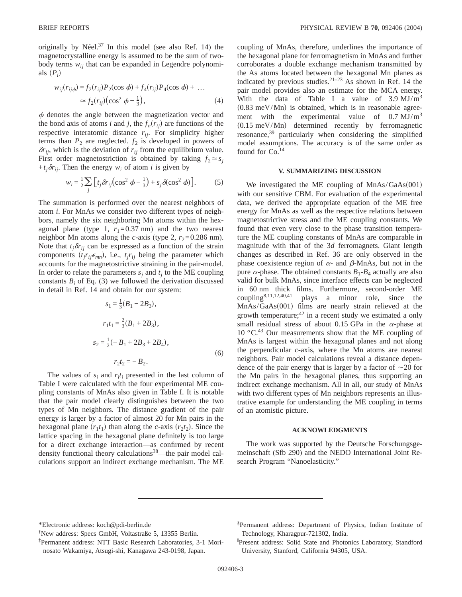originally by Néel.<sup>37</sup> In this model (see also Ref. 14) the magnetocrystalline energy is assumed to be the sum of twobody terms  $w_{ij}$  that can be expanded in Legendre polynomials  $(P_i)$ 

$$
w_{ij}(r_{ij\phi}) = f_2(r_{ij})P_2(\cos \phi) + f_4(r_{ij})P_4(\cos \phi) + \dots
$$
  
\n
$$
\approx f_2(r_{ij})(\cos^2 \phi - \frac{1}{3}), \qquad (4)
$$

 $\phi$  denotes the angle between the magnetization vector and the bond axis of atoms *i* and *j*, the  $f_n(r_{ij})$  are functions of the respective interatomic distance *rij*. For simplicity higher terms than  $P_2$  are neglected.  $f_2$  is developed in powers of  $\delta r_{ij}$ , which is the deviation of  $r_{ij}$  from the equilibrium value. First order magnetostriction is obtained by taking  $f_2 \approx s_i$  $+t_i\delta r_{ij}$ . Then the energy  $w_i$  of atom *i* is given by

$$
w_i = \frac{1}{2} \sum_j \left[ t_j \delta r_{ij} \left( \cos^2 \phi - \frac{1}{3} \right) + s_j \delta (\cos^2 \phi) \right].
$$
 (5)

The summation is performed over the nearest neighbors of atom *i*. For MnAs we consider two different types of neighbors, namely the six neighboring Mn atoms within the hexagonal plane (type 1,  $r_1 = 0.37$  nm) and the two nearest neighbor Mn atoms along the *c*-axis (type 2,  $r_2$ =0.286 nm). Note that  $t_j \delta r_{ij}$  can be expressed as a function of the strain components  $(t_jr_{ij}\epsilon_{mn})$ , i.e.,  $t_jr_{ij}$  being the parameter which accounts for the magnetostrictive straining in the pair-model. In order to relate the parameters  $s_i$  and  $t_j$  to the ME coupling constants  $B_i$  of Eq. (3) we followed the derivation discussed in detail in Ref. 14 and obtain for our system:

$$
s_1 = \frac{1}{3}(B_1 - 2B_3),
$$
  
\n
$$
r_1t_1 = \frac{2}{3}(B_1 + 2B_3),
$$
  
\n
$$
s_2 = \frac{1}{2}(-B_1 + 2B_3 + 2B_4),
$$
  
\n
$$
r_2t_2 = -B_2.
$$
\n(6)

The values of  $s_i$  and  $r_i t_i$  presented in the last column of Table I were calculated with the four experimental ME coupling constants of MnAs also given in Table I. It is notable that the pair model clearly distinguishes between the two types of Mn neighbors. The distance gradient of the pair energy is larger by a factor of almost 20 for Mn pairs in the hexagonal plane  $(r_1t_1)$  than along the *c*-axis  $(r_2t_2)$ . Since the lattice spacing in the hexagonal plane definitely is too large for a direct exchange interaction—as confirmed by recent density functional theory calculations<sup>38</sup>—the pair model calculations support an indirect exchange mechanism. The ME coupling of MnAs, therefore, underlines the importance of the hexagonal plane for ferromagnetism in MnAs and further corroborates a double exchange mechanism transmitted by the As atoms located between the hexagonal Mn planes as indicated by previous studies.<sup>21-23</sup> As shown in Ref. 14 the pair model provides also an estimate for the MCA energy. With the data of Table I a value of  $3.9 \text{ MJ/m}^3$  $(0.83 \text{ meV/Mn})$  is obtained, which is in reasonable agreement with the experimental value of  $0.7 \text{ MJ/m}^3$  $(0.15 \text{ meV/Mn})$  determined recently by ferromagnetic resonance,<sup>39</sup> particularly when considering the simplified model assumptions. The accuracy is of the same order as found for  $Co.$ <sup>14</sup>

### **V. SUMMARIZING DISCUSSION**

We investigated the ME coupling of  $MnAs/GaAs(001)$ with our sensitive CBM. For evaluation of the experimental data, we derived the appropriate equation of the ME free energy for MnAs as well as the respective relations between magnetostrictive stress and the ME coupling constants. We found that even very close to the phase transition temperature the ME coupling constants of MnAs are comparable in magnitude with that of the 3*d* ferromagnets. Giant length changes as described in Ref. 36 are only observed in the phase coexistence region of  $\alpha$ - and  $\beta$ -MnAs, but not in the pure  $\alpha$ -phase. The obtained constants  $B_1 - B_4$  actually are also valid for bulk MnAs, since interface effects can be neglected in 60 nm thick films. Furthermore, second-order ME coupling8,11,12,40,41 plays a minor role, since the MnAs/GaAs(001) films are nearly strain relieved at the growth temperature;  $42$  in a recent study we estimated a only small residual stress of about 0.15 GPa in the  $\alpha$ -phase at  $10^{\circ}$ C.<sup>43</sup> Our measurements show that the ME coupling of MnAs is largest within the hexagonal planes and not along the perpendicular *c*-axis, where the Mn atoms are nearest neighbors. Pair model calculations reveal a distance dependence of the pair energy that is larger by a factor of  $\sim$ 20 for the Mn pairs in the hexagonal planes, thus supporting an indirect exchange mechanism. All in all, our study of MnAs with two different types of Mn neighbors represents an illustrative example for understanding the ME coupling in terms of an atomistic picture.

### **ACKNOWLEDGMENTS**

The work was supported by the Deutsche Forschungsgemeinschaft (Sfb 290) and the NEDO International Joint Research Program "Nanoelasticity."

<sup>\*</sup>Electronic address: koch@pdi-berlin.de

<sup>†</sup> New address: Specs GmbH, Voltastraße 5, 13355 Berlin.

<sup>‡</sup>Permanent address: NTT Basic Research Laboratories, 3-1 Morinosato Wakamiya, Atsugi-shi, Kanagawa 243-0198, Japan.

<sup>§</sup> Permanent address: Department of Physics, Indian Institute of Technology, Kharagpur-721302, India.

i Present address: Solid State and Photonics Laboratory, Standford University, Stanford, California 94305, USA.